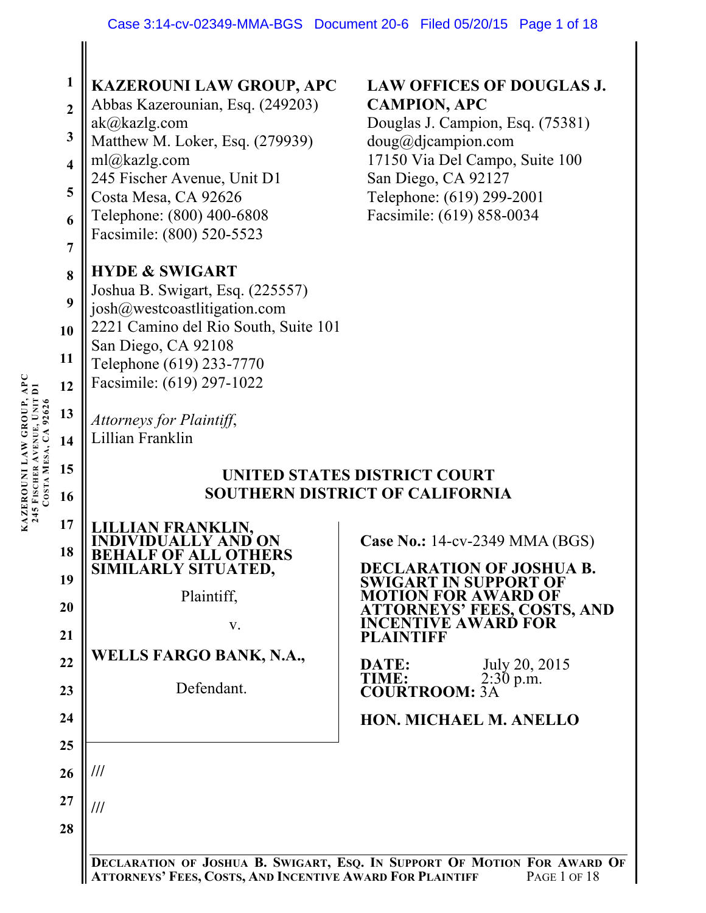|  | 1<br>$\overline{2}$<br>$\mathbf{3}$<br>$\overline{\mathbf{4}}$<br>5<br>6<br>$\overline{7}$ | <b>KAZEROUNI LAW GROUP, APC</b><br>Abbas Kazerounian, Esq. (249203)<br>ak@kazlg.com<br>Matthew M. Loker, Esq. (279939)<br>ml@kazlg.com<br>245 Fischer Avenue, Unit D1<br>Costa Mesa, CA 92626<br>Telephone: (800) 400-6808<br>Facsimile: (800) 520-5523<br><b>HYDE &amp; SWIGART</b> | <b>LAW OFFICES OF DOUGLAS J.</b><br><b>CAMPION, APC</b><br>Douglas J. Campion, Esq. (75381)<br>doug@djaampion.com<br>17150 Via Del Campo, Suite 100<br>San Diego, CA 92127<br>Telephone: (619) 299-2001<br>Facsimile: (619) 858-0034                                                                                                                                                                         |
|--|--------------------------------------------------------------------------------------------|--------------------------------------------------------------------------------------------------------------------------------------------------------------------------------------------------------------------------------------------------------------------------------------|--------------------------------------------------------------------------------------------------------------------------------------------------------------------------------------------------------------------------------------------------------------------------------------------------------------------------------------------------------------------------------------------------------------|
|  | 8<br>9<br>10<br>11<br>12<br>13<br>14                                                       | Joshua B. Swigart, Esq. (225557)<br>josh@westcoastlitigation.com<br>2221 Camino del Rio South, Suite 101<br>San Diego, CA 92108<br>Telephone (619) 233-7770<br>Facsimile: (619) 297-1022<br>Attorneys for Plaintiff,<br>Lillian Franklin                                             |                                                                                                                                                                                                                                                                                                                                                                                                              |
|  | 15<br>16<br>17<br>18<br>19<br>20<br>21<br>22<br>23<br>24<br>25<br>26                       | AN FRANKLIN.<br><b>BEHALF OF ALL OTHERS</b><br>SIMILARLY SITUATED,<br>Plaintiff,<br>V.<br><b>WELLS FARGO BANK, N.A.,</b><br>Defendant.<br>///                                                                                                                                        | UNITED STATES DISTRICT COURT<br><b>SOUTHERN DISTRICT OF CALIFORNIA</b><br><b>Case No.: 14-cv-2349 MMA (BGS)</b><br><b>DECLARATION OF JOSHUA B.</b><br><b>SWIGART IN SUPPORT OF</b><br><b>MOTION FOR AWARD OF</b><br>ATTORNEYS' FEES, COSTS, AND<br><b>INCENTIVE AWARD FOR</b><br><b>PLAINTIFF</b><br>July 20, 2015<br>DATE:<br>TIME:<br>$2:30$ p.m.<br><b>COURTROOM: 3A</b><br><b>HON. MICHAEL M. ANELLO</b> |
|  | 27<br>28                                                                                   | ///<br>ATTORNEYS' FEES, COSTS, AND INCENTIVE AWARD FOR PLAINTIFF                                                                                                                                                                                                                     | DECLARATION OF JOSHUA B. SWIGART, ESQ. IN SUPPORT OF MOTION FOR AWARD OF<br>PAGE 1 OF 18                                                                                                                                                                                                                                                                                                                     |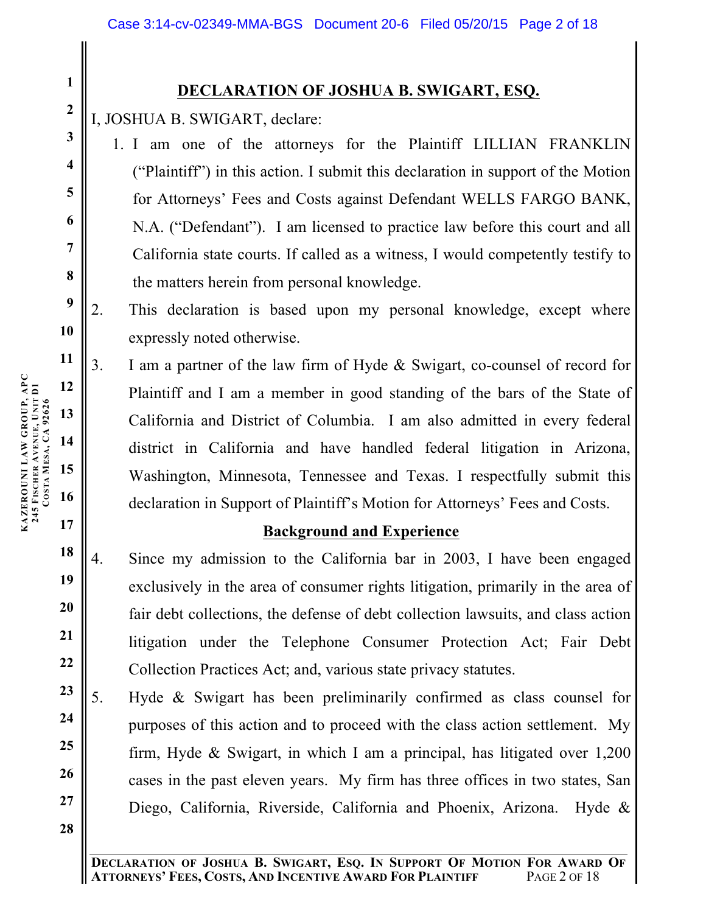## **DECLARATION OF JOSHUA B. SWIGART, ESQ.**

I, JOSHUA B. SWIGART, declare:

1. I am one of the attorneys for the Plaintiff LILLIAN FRANKLIN ("Plaintiff") in this action. I submit this declaration in support of the Motion for Attorneys' Fees and Costs against Defendant WELLS FARGO BANK, N.A. ("Defendant"). I am licensed to practice law before this court and all California state courts. If called as a witness, I would competently testify to the matters herein from personal knowledge.

2. This declaration is based upon my personal knowledge, except where expressly noted otherwise.

3. I am a partner of the law firm of Hyde & Swigart, co-counsel of record for Plaintiff and I am a member in good standing of the bars of the State of California and District of Columbia. I am also admitted in every federal district in California and have handled federal litigation in Arizona, Washington, Minnesota, Tennessee and Texas. I respectfully submit this declaration in Support of Plaintiff's Motion for Attorneys' Fees and Costs.

## **Background and Experience**

- **18 19 20 21 22** 4. Since my admission to the California bar in 2003, I have been engaged exclusively in the area of consumer rights litigation, primarily in the area of fair debt collections, the defense of debt collection lawsuits, and class action litigation under the Telephone Consumer Protection Act; Fair Debt Collection Practices Act; and, various state privacy statutes.
- **23 24 25 26 27** 5. Hyde & Swigart has been preliminarily confirmed as class counsel for purposes of this action and to proceed with the class action settlement. My firm, Hyde & Swigart, in which I am a principal, has litigated over 1,200 cases in the past eleven years. My firm has three offices in two states, San Diego, California, Riverside, California and Phoenix, Arizona. Hyde &
	- **DECLARATION OF JOSHUA B. SWIGART, ESQ. IN SUPPORT OF MOTION FOR AWARD OF ATTORNEYS' FEES, COSTS, AND INCENTIVE AWARD FOR PLAINTIFF**

**1**

**2**

**3**

**4**

**5**

**6**

**7**

**8**

**9**

**10**

**11**

**12**

**13**

**14**

**15**

**16**

**17**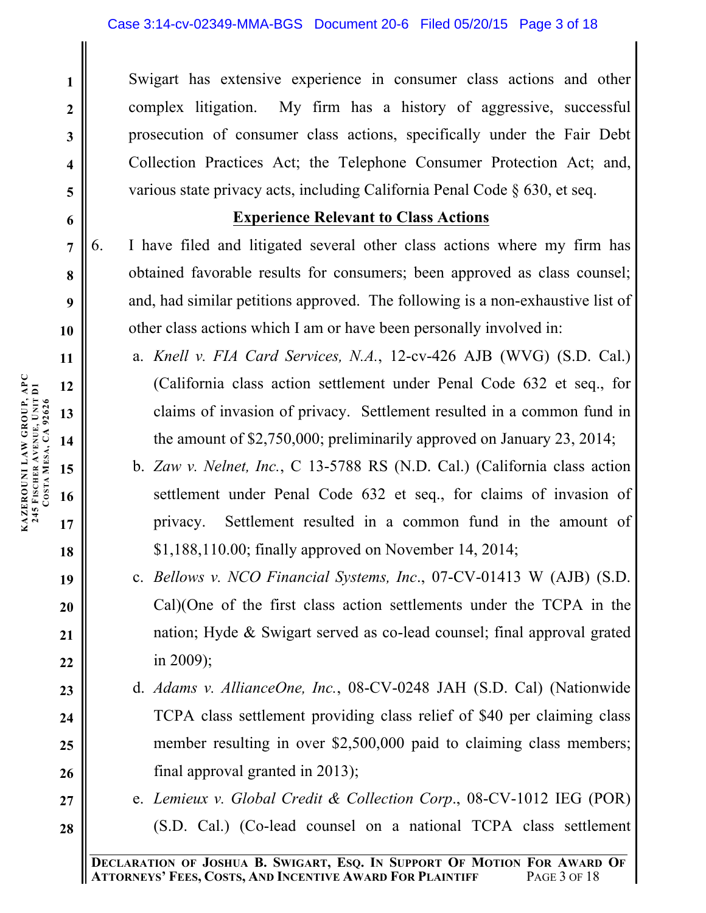Swigart has extensive experience in consumer class actions and other complex litigation. My firm has a history of aggressive, successful prosecution of consumer class actions, specifically under the Fair Debt Collection Practices Act; the Telephone Consumer Protection Act; and, various state privacy acts, including California Penal Code § 630, et seq.

## **Experience Relevant to Class Actions**

6. I have filed and litigated several other class actions where my firm has obtained favorable results for consumers; been approved as class counsel; and, had similar petitions approved. The following is a non-exhaustive list of other class actions which I am or have been personally involved in:

- a. *Knell v. FIA Card Services, N.A.*, 12-cv-426 AJB (WVG) (S.D. Cal.) (California class action settlement under Penal Code 632 et seq., for claims of invasion of privacy. Settlement resulted in a common fund in the amount of \$2,750,000; preliminarily approved on January 23, 2014;
- b. *Zaw v. Nelnet, Inc.*, C 13-5788 RS (N.D. Cal.) (California class action settlement under Penal Code 632 et seq., for claims of invasion of privacy. Settlement resulted in a common fund in the amount of \$1,188,110.00; finally approved on November 14, 2014;
- c. *Bellows v. NCO Financial Systems, Inc*., 07-CV-01413 W (AJB) (S.D. Cal)(One of the first class action settlements under the TCPA in the nation; Hyde & Swigart served as co-lead counsel; final approval grated in 2009);
- d. *Adams v. AllianceOne, Inc.*, 08-CV-0248 JAH (S.D. Cal) (Nationwide TCPA class settlement providing class relief of \$40 per claiming class member resulting in over \$2,500,000 paid to claiming class members; final approval granted in 2013);
- e. *Lemieux v. Global Credit & Collection Corp*., 08-CV-1012 IEG (POR) (S.D. Cal.) (Co-lead counsel on a national TCPA class settlement

**1**

**2**

**3**

**4**

**5**

**6**

**7**

**8**

**9**

**10**

**11**

**18**

**19**

**20**

**21**

**22**

**23**

**24**

**25**

**26**

**27**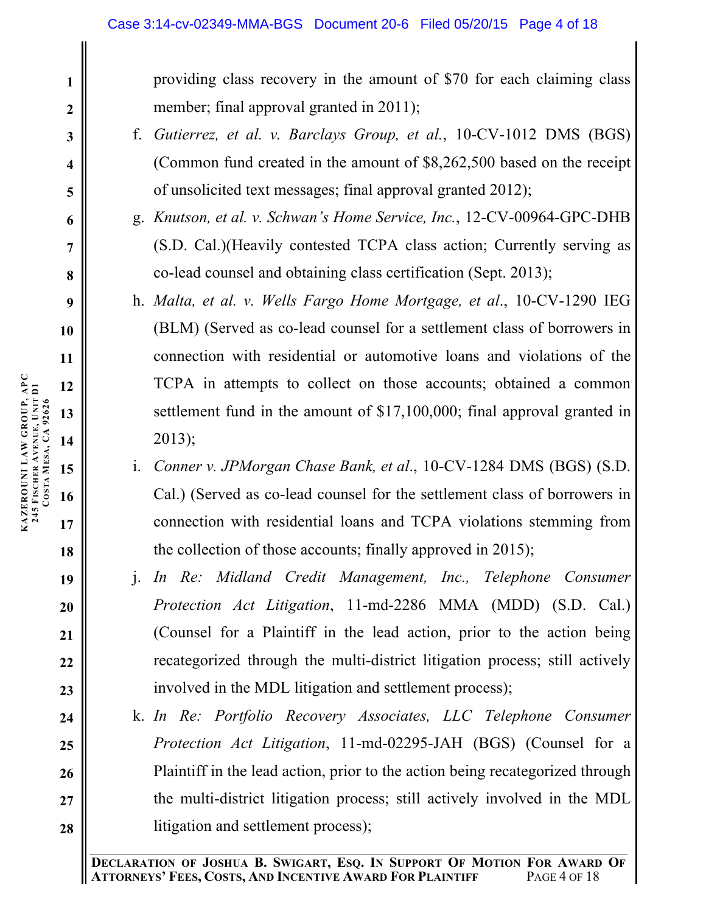providing class recovery in the amount of \$70 for each claiming class member; final approval granted in 2011);

- f. *Gutierrez, et al. v. Barclays Group, et al.*, 10-CV-1012 DMS (BGS) (Common fund created in the amount of \$8,262,500 based on the receipt of unsolicited text messages; final approval granted 2012);
- g. *Knutson, et al. v. Schwan's Home Service, Inc.*, 12-CV-00964-GPC-DHB (S.D. Cal.)(Heavily contested TCPA class action; Currently serving as co-lead counsel and obtaining class certification (Sept. 2013);
- h. *Malta, et al. v. Wells Fargo Home Mortgage, et al*., 10-CV-1290 IEG (BLM) (Served as co-lead counsel for a settlement class of borrowers in connection with residential or automotive loans and violations of the TCPA in attempts to collect on those accounts; obtained a common settlement fund in the amount of \$17,100,000; final approval granted in 2013);
- i. *Conner v. JPMorgan Chase Bank, et al*., 10-CV-1284 DMS (BGS) (S.D. Cal.) (Served as co-lead counsel for the settlement class of borrowers in connection with residential loans and TCPA violations stemming from the collection of those accounts; finally approved in 2015);
- j. *In Re: Midland Credit Management, Inc., Telephone Consumer Protection Act Litigation*, 11-md-2286 MMA (MDD) (S.D. Cal.) (Counsel for a Plaintiff in the lead action, prior to the action being recategorized through the multi-district litigation process; still actively involved in the MDL litigation and settlement process);
- k. *In Re: Portfolio Recovery Associates, LLC Telephone Consumer Protection Act Litigation*, 11-md-02295-JAH (BGS) (Counsel for a Plaintiff in the lead action, prior to the action being recategorized through the multi-district litigation process; still actively involved in the MDL litigation and settlement process);

**18**

**19**

**20**

**21**

**22**

**23**

**24**

**25**

**26**

**27**

**28**

**1**

**2**

**3**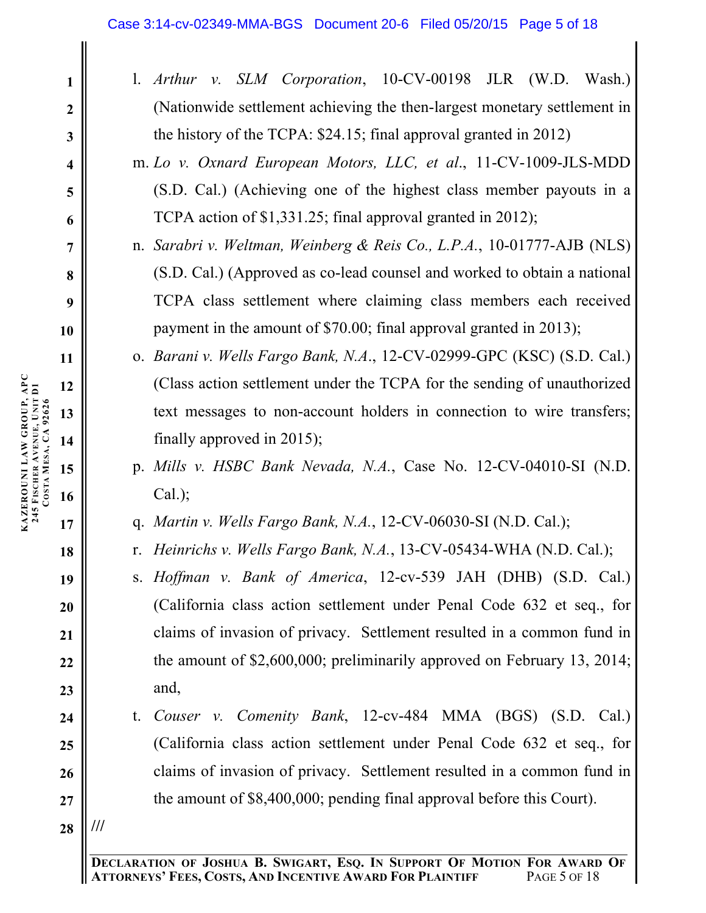- l. *Arthur v. SLM Corporation*, 10-CV-00198 JLR (W.D. Wash.) (Nationwide settlement achieving the then-largest monetary settlement in the history of the TCPA: \$24.15; final approval granted in 2012)
- m. *Lo v. Oxnard European Motors, LLC, et al*., 11-CV-1009-JLS-MDD (S.D. Cal.) (Achieving one of the highest class member payouts in a TCPA action of \$1,331.25; final approval granted in 2012);
- n. *Sarabri v. Weltman, Weinberg & Reis Co., L.P.A.*, 10-01777-AJB (NLS) (S.D. Cal.) (Approved as co-lead counsel and worked to obtain a national TCPA class settlement where claiming class members each received payment in the amount of \$70.00; final approval granted in 2013);
- o. *Barani v. Wells Fargo Bank, N.A*., 12-CV-02999-GPC (KSC) (S.D. Cal.) (Class action settlement under the TCPA for the sending of unauthorized text messages to non-account holders in connection to wire transfers; finally approved in 2015);
- p. *Mills v. HSBC Bank Nevada, N.A.*, Case No. 12-CV-04010-SI (N.D.  $Cal.$ );
- q. *Martin v. Wells Fargo Bank, N.A.*, 12-CV-06030-SI (N.D. Cal.);
- r. *Heinrichs v. Wells Fargo Bank, N.A.*, 13-CV-05434-WHA (N.D. Cal.);
- s. *Hoffman v. Bank of America*, 12-cv-539 JAH (DHB) (S.D. Cal.) (California class action settlement under Penal Code 632 et seq., for claims of invasion of privacy. Settlement resulted in a common fund in the amount of \$2,600,000; preliminarily approved on February 13, 2014; and,
- t. *Couser v. Comenity Bank*, 12-cv-484 MMA (BGS) (S.D. Cal.) (California class action settlement under Penal Code 632 et seq., for claims of invasion of privacy. Settlement resulted in a common fund in the amount of \$8,400,000; pending final approval before this Court).
- **28 ///**

**1**

**2**

**3**

**4**

**5**

**6**

**7**

**8**

**9**

**19**

**20**

**21**

**22**

**23**

**24**

**25**

**26**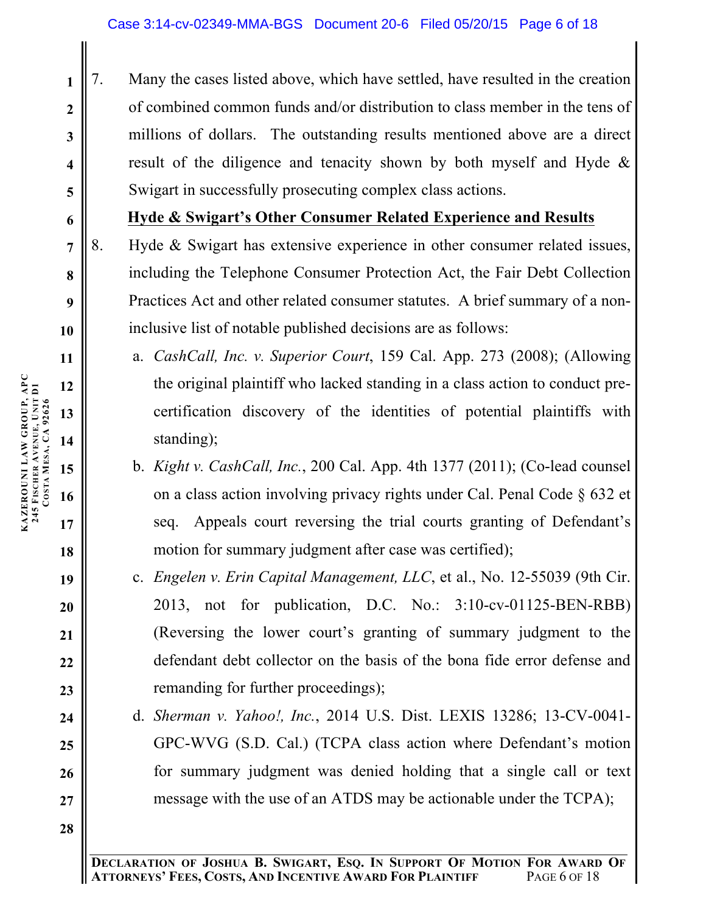7. Many the cases listed above, which have settled, have resulted in the creation of combined common funds and/or distribution to class member in the tens of millions of dollars. The outstanding results mentioned above are a direct result of the diligence and tenacity shown by both myself and Hyde & Swigart in successfully prosecuting complex class actions.

## **Hyde & Swigart's Other Consumer Related Experience and Results**

- 8. Hyde & Swigart has extensive experience in other consumer related issues, including the Telephone Consumer Protection Act, the Fair Debt Collection Practices Act and other related consumer statutes. A brief summary of a noninclusive list of notable published decisions are as follows:
	- a. *CashCall, Inc. v. Superior Court*, 159 Cal. App. 273 (2008); (Allowing the original plaintiff who lacked standing in a class action to conduct precertification discovery of the identities of potential plaintiffs with standing);
	- b. *Kight v. CashCall, Inc.*, 200 Cal. App. 4th 1377 (2011); (Co-lead counsel on a class action involving privacy rights under Cal. Penal Code § 632 et seq. Appeals court reversing the trial courts granting of Defendant's motion for summary judgment after case was certified);
	- c. *Engelen v. Erin Capital Management, LLC*, et al., No. 12-55039 (9th Cir. 2013, not for publication, D.C. No.: 3:10-cv-01125-BEN-RBB) (Reversing the lower court's granting of summary judgment to the defendant debt collector on the basis of the bona fide error defense and remanding for further proceedings);
	- d. *Sherman v. Yahoo!, Inc.*, 2014 U.S. Dist. LEXIS 13286; 13-CV-0041- GPC-WVG (S.D. Cal.) (TCPA class action where Defendant's motion for summary judgment was denied holding that a single call or text message with the use of an ATDS may be actionable under the TCPA);

**DECLARATION OF JOSHUA B. SWIGART, ESQ. IN SUPPORT OF MOTION FOR AWARD OF ATTORNEYS' FEES, COSTS, AND INCENTIVE AWARD FOR PLAINTIFF** PAGE 6 OF 18

**1**

**2**

**3**

**4**

**5**

**6**

**7**

**8**

**9**

**10**

**11**

**18**

**19**

**20**

**21**

**22**

**23**

**24**

**25**

**26**

**27**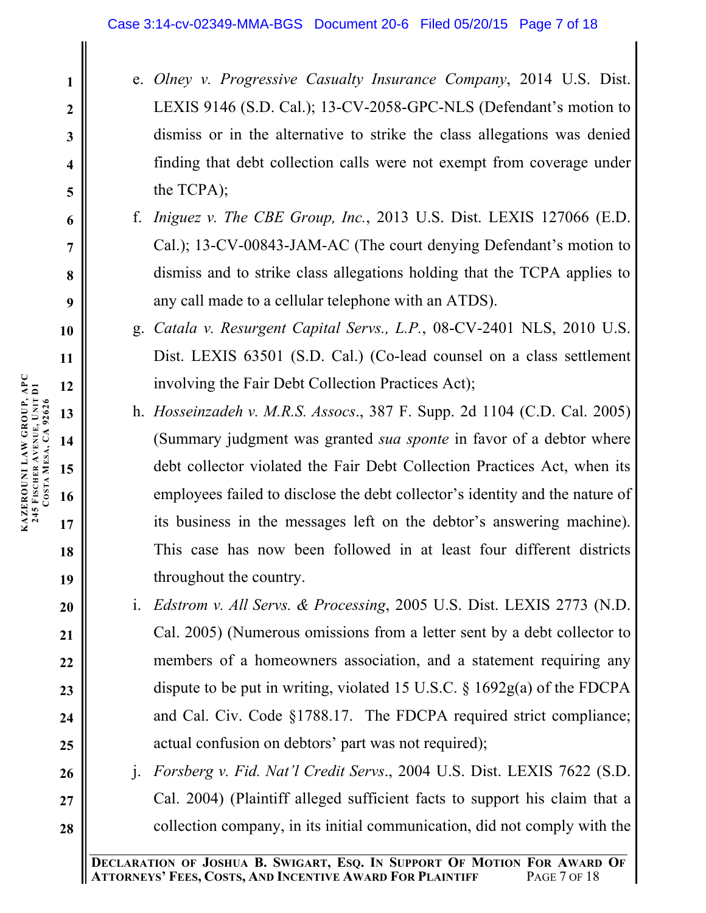- e. *Olney v. Progressive Casualty Insurance Company*, 2014 U.S. Dist. LEXIS 9146 (S.D. Cal.); 13-CV-2058-GPC-NLS (Defendant's motion to dismiss or in the alternative to strike the class allegations was denied finding that debt collection calls were not exempt from coverage under the TCPA);
- f. *Iniguez v. The CBE Group, Inc.*, 2013 U.S. Dist. LEXIS 127066 (E.D. Cal.); 13-CV-00843-JAM-AC (The court denying Defendant's motion to dismiss and to strike class allegations holding that the TCPA applies to any call made to a cellular telephone with an ATDS).
- g. *Catala v. Resurgent Capital Servs., L.P.*, 08-CV-2401 NLS, 2010 U.S. Dist. LEXIS 63501 (S.D. Cal.) (Co-lead counsel on a class settlement involving the Fair Debt Collection Practices Act);
- h. *Hosseinzadeh v. M.R.S. Assocs*., 387 F. Supp. 2d 1104 (C.D. Cal. 2005) (Summary judgment was granted *sua sponte* in favor of a debtor where debt collector violated the Fair Debt Collection Practices Act, when its employees failed to disclose the debt collector's identity and the nature of its business in the messages left on the debtor's answering machine). This case has now been followed in at least four different districts throughout the country.
- i. *Edstrom v. All Servs. & Processing*, 2005 U.S. Dist. LEXIS 2773 (N.D. Cal. 2005) (Numerous omissions from a letter sent by a debt collector to members of a homeowners association, and a statement requiring any dispute to be put in writing, violated 15 U.S.C. § 1692g(a) of the FDCPA and Cal. Civ. Code §1788.17. The FDCPA required strict compliance; actual confusion on debtors' part was not required);
- j. *Forsberg v. Fid. Nat'l Credit Servs*., 2004 U.S. Dist. LEXIS 7622 (S.D. Cal. 2004) (Plaintiff alleged sufficient facts to support his claim that a collection company, in its initial communication, did not comply with the

**18**

**19**

**20**

**21**

**22**

**23**

**24**

**25**

**26**

**27**

**28**

**1**

**2**

**3**

**4**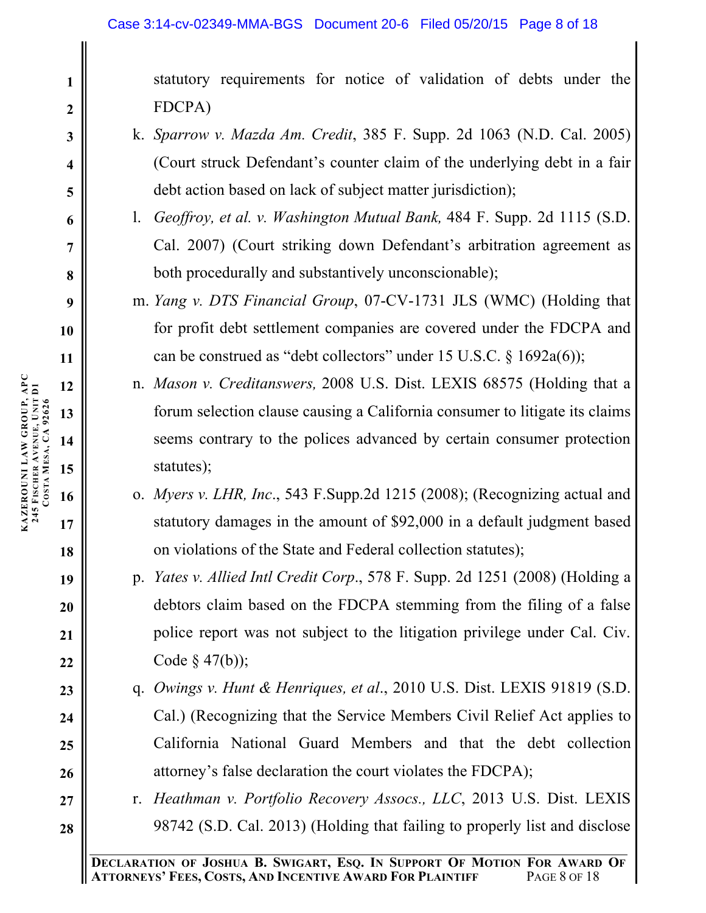statutory requirements for notice of validation of debts under the FDCPA)

- k. *Sparrow v. Mazda Am. Credit*, 385 F. Supp. 2d 1063 (N.D. Cal. 2005) (Court struck Defendant's counter claim of the underlying debt in a fair debt action based on lack of subject matter jurisdiction);
- l. *Geoffroy, et al. v. Washington Mutual Bank,* 484 F. Supp. 2d 1115 (S.D. Cal. 2007) (Court striking down Defendant's arbitration agreement as both procedurally and substantively unconscionable);
- m. *Yang v. DTS Financial Group*, 07-CV-1731 JLS (WMC) (Holding that for profit debt settlement companies are covered under the FDCPA and can be construed as "debt collectors" under 15 U.S.C. § 1692a(6));
- n. *Mason v. Creditanswers,* 2008 U.S. Dist. LEXIS 68575 (Holding that a forum selection clause causing a California consumer to litigate its claims seems contrary to the polices advanced by certain consumer protection statutes);
- o. *Myers v. LHR, Inc*., 543 F.Supp.2d 1215 (2008); (Recognizing actual and statutory damages in the amount of \$92,000 in a default judgment based on violations of the State and Federal collection statutes);
- p. *Yates v. Allied Intl Credit Corp*., 578 F. Supp. 2d 1251 (2008) (Holding a debtors claim based on the FDCPA stemming from the filing of a false police report was not subject to the litigation privilege under Cal. Civ. Code  $\S$  47(b));
- q. *Owings v. Hunt & Henriques, et al*., 2010 U.S. Dist. LEXIS 91819 (S.D. Cal.) (Recognizing that the Service Members Civil Relief Act applies to California National Guard Members and that the debt collection attorney's false declaration the court violates the FDCPA);
- r. *Heathman v. Portfolio Recovery Assocs., LLC*, 2013 U.S. Dist. LEXIS 98742 (S.D. Cal. 2013) (Holding that failing to properly list and disclose

**1**

**2**

**3**

**4**

**5**

**6**

**7**

**8**

**9**

**18**

**19**

**20**

**21**

**22**

**23**

**24**

**25**

**26**

**27**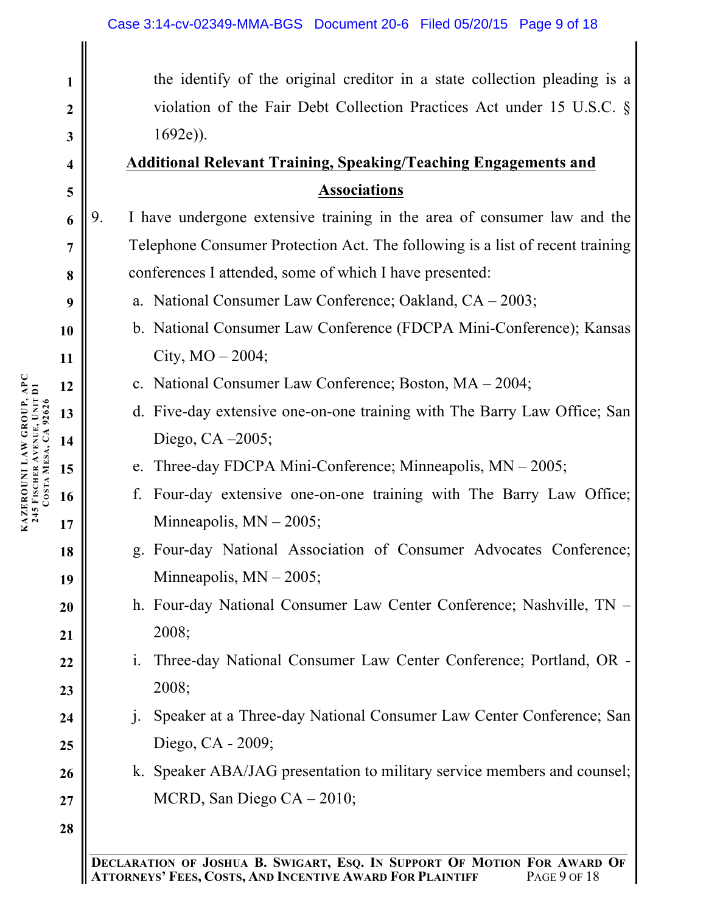| $\mathbf{1}$            | the identify of the original creditor in a state collection pleading is a      |  |  |
|-------------------------|--------------------------------------------------------------------------------|--|--|
| $\boldsymbol{2}$        | violation of the Fair Debt Collection Practices Act under 15 U.S.C. $\S$       |  |  |
| 3                       | $1692e)$ ).                                                                    |  |  |
| $\overline{\mathbf{4}}$ | <b>Additional Relevant Training, Speaking/Teaching Engagements and</b>         |  |  |
| 5                       | <b>Associations</b>                                                            |  |  |
| 6                       | I have undergone extensive training in the area of consumer law and the<br>9.  |  |  |
| $\overline{7}$          | Telephone Consumer Protection Act. The following is a list of recent training  |  |  |
| 8                       | conferences I attended, some of which I have presented:                        |  |  |
| 9                       | a. National Consumer Law Conference; Oakland, $CA - 2003$ ;                    |  |  |
| 10                      | b. National Consumer Law Conference (FDCPA Mini-Conference); Kansas            |  |  |
| 11                      | City, $MO - 2004$ ;                                                            |  |  |
| 12                      | c. National Consumer Law Conference; Boston, MA - 2004;                        |  |  |
| 13                      | d. Five-day extensive one-on-one training with The Barry Law Office; San       |  |  |
| 14                      | Diego, CA $-2005$ ;                                                            |  |  |
| 15                      | e. Three-day FDCPA Mini-Conference; Minneapolis, $MN - 2005$ ;                 |  |  |
| 16                      | Four-day extensive one-on-one training with The Barry Law Office;<br>f.        |  |  |
| 17                      | Minneapolis, $MN - 2005$ ;                                                     |  |  |
| 18                      | g. Four-day National Association of Consumer Advocates Conference;             |  |  |
| 19                      | Minneapolis, $MN - 2005$ ;                                                     |  |  |
| 20                      | h. Four-day National Consumer Law Center Conference; Nashville, TN -           |  |  |
| 21                      | 2008;                                                                          |  |  |
| 22                      | Three-day National Consumer Law Center Conference; Portland, OR -<br>1.        |  |  |
| 23                      | 2008;                                                                          |  |  |
| 24                      | Speaker at a Three-day National Consumer Law Center Conference; San<br>$\cdot$ |  |  |
| 25                      | Diego, CA - 2009;                                                              |  |  |
| 26                      | k. Speaker ABA/JAG presentation to military service members and counsel;       |  |  |
| 27                      | MCRD, San Diego $CA - 2010$ ;                                                  |  |  |
| 28                      |                                                                                |  |  |
|                         |                                                                                |  |  |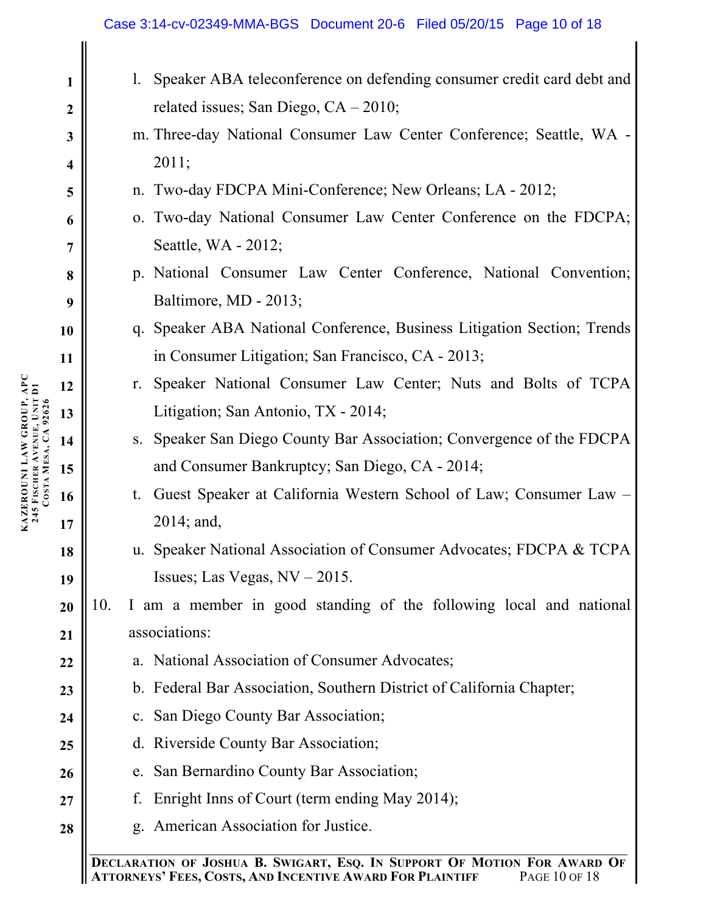## Case 3:14-cv-02349-MMA-BGS Document 20-6 Filed 05/20/15 Page 10 of 18

| $\mathbf{1}$            | $\mathbf{l}$ .                                                           | Speaker ABA teleconference on defending consumer credit card debt and   |
|-------------------------|--------------------------------------------------------------------------|-------------------------------------------------------------------------|
| $\boldsymbol{2}$        |                                                                          | related issues; San Diego, $CA - 2010$ ;                                |
| $\mathbf{3}$            |                                                                          | m. Three-day National Consumer Law Center Conference; Seattle, WA -     |
| $\overline{\mathbf{4}}$ | 2011;                                                                    |                                                                         |
| 5                       |                                                                          | n. Two-day FDCPA Mini-Conference; New Orleans; LA - 2012;               |
| 6                       |                                                                          | o. Two-day National Consumer Law Center Conference on the FDCPA;        |
| $\overline{7}$          | Seattle, WA - 2012;                                                      |                                                                         |
| 8                       |                                                                          | p. National Consumer Law Center Conference, National Convention;        |
| 9                       | Baltimore, MD - 2013;                                                    |                                                                         |
| 10                      |                                                                          | q. Speaker ABA National Conference, Business Litigation Section; Trends |
| 11                      |                                                                          | in Consumer Litigation; San Francisco, CA - 2013;                       |
| 12                      |                                                                          | r. Speaker National Consumer Law Center; Nuts and Bolts of TCPA         |
| 13                      | Litigation; San Antonio, TX - 2014;                                      |                                                                         |
| 14                      |                                                                          | s. Speaker San Diego County Bar Association; Convergence of the FDCPA   |
| 15                      |                                                                          | and Consumer Bankruptcy; San Diego, CA - 2014;                          |
| 16                      | t.                                                                       | Guest Speaker at California Western School of Law; Consumer Law -       |
| 17                      | $2014$ ; and,                                                            |                                                                         |
| 18                      |                                                                          | u. Speaker National Association of Consumer Advocates; FDCPA & TCPA     |
| 19                      | Issues; Las Vegas, $NV - 2015$ .                                         |                                                                         |
| 20                      | 10.                                                                      | I am a member in good standing of the following local and national      |
| 21                      | associations:                                                            |                                                                         |
| 22                      | a.                                                                       | National Association of Consumer Advocates;                             |
| 23                      |                                                                          | b. Federal Bar Association, Southern District of California Chapter;    |
| 24                      | c. San Diego County Bar Association;                                     |                                                                         |
| 25                      | d. Riverside County Bar Association;                                     |                                                                         |
| 26                      | e.                                                                       | San Bernardino County Bar Association;                                  |
| 27                      | f.                                                                       | Enright Inns of Court (term ending May 2014);                           |
| 28                      | American Association for Justice.<br>g.                                  |                                                                         |
|                         | DECLARATION OF JOSHUA B. SWIGART, ESO. IN SUPPORT OF MOTION FOR AWARD OF |                                                                         |

**DECLARATION OF JOSHUA B. SWIGART, ESQ. IN SUPPORT OF MOTION FOR AWARD OF**   $\mathsf{l}$ **ATTORNEYS' FEES, COSTS, AND INCENTIVE AWARD FOR PLAINTIFF** PAGE 10 OF 18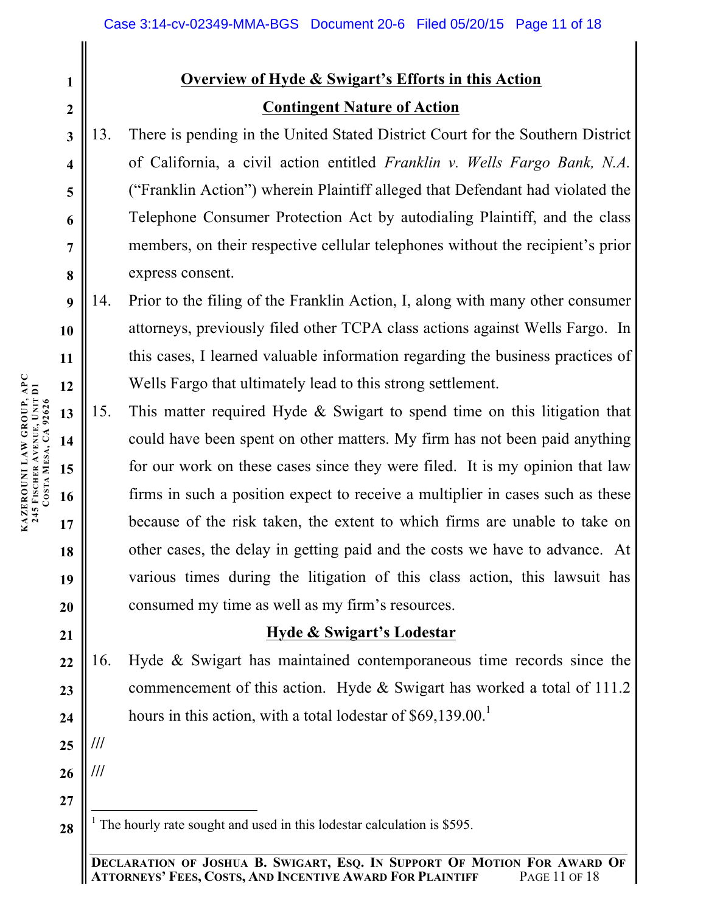# **Overview of Hyde & Swigart's Efforts in this Action Contingent Nature of Action**

13. There is pending in the United Stated District Court for the Southern District of California, a civil action entitled *Franklin v. Wells Fargo Bank, N.A.* ("Franklin Action") wherein Plaintiff alleged that Defendant had violated the Telephone Consumer Protection Act by autodialing Plaintiff, and the class members, on their respective cellular telephones without the recipient's prior express consent.

14. Prior to the filing of the Franklin Action, I, along with many other consumer attorneys, previously filed other TCPA class actions against Wells Fargo. In this cases, I learned valuable information regarding the business practices of Wells Fargo that ultimately lead to this strong settlement.

15. This matter required Hyde & Swigart to spend time on this litigation that could have been spent on other matters. My firm has not been paid anything for our work on these cases since they were filed. It is my opinion that law firms in such a position expect to receive a multiplier in cases such as these because of the risk taken, the extent to which firms are unable to take on other cases, the delay in getting paid and the costs we have to advance. At various times during the litigation of this class action, this lawsuit has consumed my time as well as my firm's resources.

## **Hyde & Swigart's Lodestar**

16. Hyde & Swigart has maintained contemporaneous time records since the commencement of this action. Hyde & Swigart has worked a total of 111.2 hours in this action, with a total lodestar of \$69,139.00.<sup>1</sup>

**25 ///**

**///**

**26**

**27**

**28**

**1**

**2**

**3**

**4**

**5**

**6**

**7**

**8**

**9**

**10**

**11**

**12**

**13**

**14**

**15**

**16**

**17**

**18**

**19**

**20**

**21**

**22**

**23**

 $<sup>1</sup>$  The hourly rate sought and used in this lodestar calculation is \$595.</sup>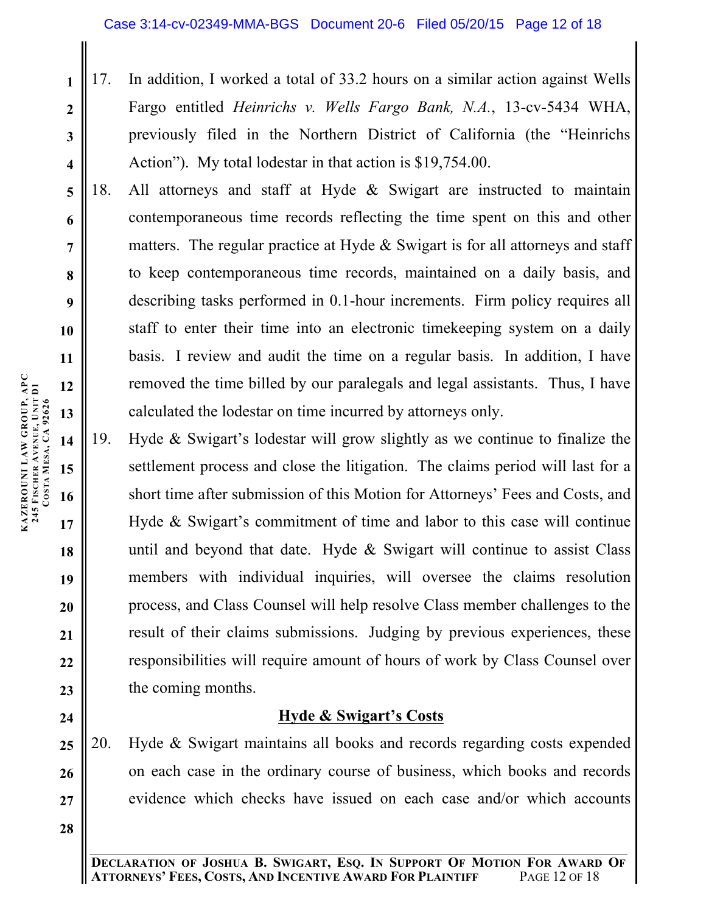- 17. In addition, I worked a total of 33.2 hours on a similar action against Wells Fargo entitled *Heinrichs v. Wells Fargo Bank, N.A.*, 13-cv-5434 WHA, previously filed in the Northern District of California (the "Heinrichs Action"). My total lodestar in that action is \$19,754.00.
- 18. All attorneys and staff at Hyde & Swigart are instructed to maintain contemporaneous time records reflecting the time spent on this and other matters. The regular practice at Hyde & Swigart is for all attorneys and staff to keep contemporaneous time records, maintained on a daily basis, and describing tasks performed in 0.1-hour increments. Firm policy requires all staff to enter their time into an electronic timekeeping system on a daily basis. I review and audit the time on a regular basis. In addition, I have removed the time billed by our paralegals and legal assistants. Thus, I have calculated the lodestar on time incurred by attorneys only.
- **14 15 16 17 18 19 20 21 22 23** 19. Hyde & Swigart's lodestar will grow slightly as we continue to finalize the settlement process and close the litigation. The claims period will last for a short time after submission of this Motion for Attorneys' Fees and Costs, and Hyde & Swigart's commitment of time and labor to this case will continue until and beyond that date. Hyde & Swigart will continue to assist Class members with individual inquiries, will oversee the claims resolution process, and Class Counsel will help resolve Class member challenges to the result of their claims submissions. Judging by previous experiences, these responsibilities will require amount of hours of work by Class Counsel over the coming months.

# **Hyde & Swigart's Costs**

**25 26 27** 20. Hyde & Swigart maintains all books and records regarding costs expended on each case in the ordinary course of business, which books and records evidence which checks have issued on each case and/or which accounts

**1**

**2**

**3**

**4**

**5**

**6**

**7**

**8**

**9**

**10**

**11**

**12**

**13**

**24**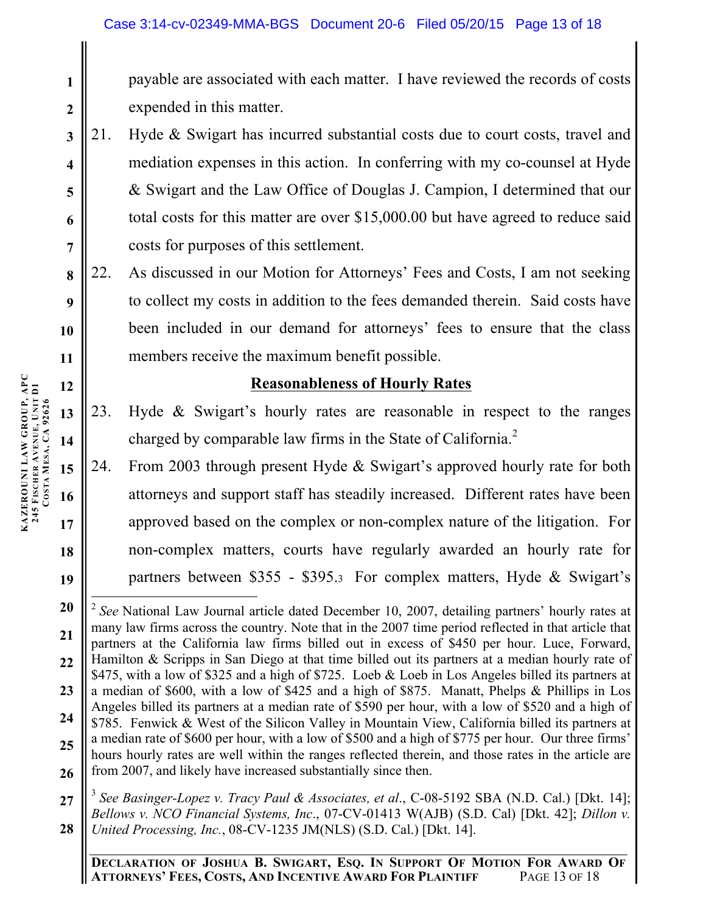payable are associated with each matter. I have reviewed the records of costs expended in this matter.

- 21. Hyde & Swigart has incurred substantial costs due to court costs, travel and mediation expenses in this action. In conferring with my co-counsel at Hyde & Swigart and the Law Office of Douglas J. Campion, I determined that our total costs for this matter are over \$15,000.00 but have agreed to reduce said costs for purposes of this settlement.
- **8 9 10 11** 22. As discussed in our Motion for Attorneys' Fees and Costs, I am not seeking to collect my costs in addition to the fees demanded therein. Said costs have been included in our demand for attorneys' fees to ensure that the class members receive the maximum benefit possible.

## **Reasonableness of Hourly Rates**

- 23. Hyde & Swigart's hourly rates are reasonable in respect to the ranges charged by comparable law firms in the State of California.<sup>2</sup>
- 24. From 2003 through present Hyde & Swigart's approved hourly rate for both attorneys and support staff has steadily increased. Different rates have been approved based on the complex or non-complex nature of the litigation. For non-complex matters, courts have regularly awarded an hourly rate for partners between \$355 - \$395.3 For complex matters, Hyde & Swigart's

**27 28** <sup>3</sup> *See Basinger-Lopez v. Tracy Paul & Associates, et al*., C-08-5192 SBA (N.D. Cal.) [Dkt. 14]; *Bellows v. NCO Financial Systems, Inc*., 07-CV-01413 W(AJB) (S.D. Cal) [Dkt. 42]; *Dillon v. United Processing, Inc.*, 08-CV-1235 JM(NLS) (S.D. Cal.) [Dkt. 14].

**1**

**2**

**3**

**4**

**5**

**6**

**7**

**12**

**13**

**14**

**15**

**16**

**17**

**18**

**<sup>20</sup> 21 22 23 24 25 26** <sup>2</sup> *See* National Law Journal article dated December 10, 2007, detailing partners' hourly rates at many law firms across the country. Note that in the 2007 time period reflected in that article that partners at the California law firms billed out in excess of \$450 per hour. Luce, Forward, Hamilton & Scripps in San Diego at that time billed out its partners at a median hourly rate of \$475, with a low of \$325 and a high of \$725. Loeb & Loeb in Los Angeles billed its partners at a median of \$600, with a low of \$425 and a high of \$875. Manatt, Phelps & Phillips in Los Angeles billed its partners at a median rate of \$590 per hour, with a low of \$520 and a high of \$785. Fenwick & West of the Silicon Valley in Mountain View, California billed its partners at a median rate of \$600 per hour, with a low of \$500 and a high of \$775 per hour. Our three firms' hours hourly rates are well within the ranges reflected therein, and those rates in the article are from 2007, and likely have increased substantially since then.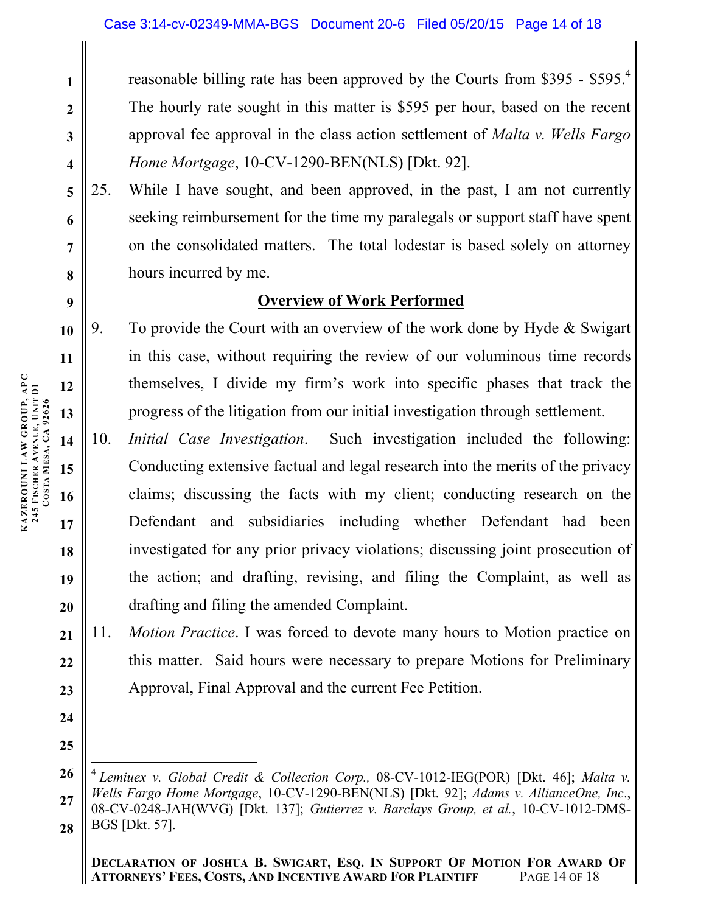reasonable billing rate has been approved by the Courts from \$395 - \$595.4 The hourly rate sought in this matter is \$595 per hour, based on the recent approval fee approval in the class action settlement of *Malta v. Wells Fargo Home Mortgage*, 10-CV-1290-BEN(NLS) [Dkt. 92].

25. While I have sought, and been approved, in the past, I am not currently seeking reimbursement for the time my paralegals or support staff have spent on the consolidated matters. The total lodestar is based solely on attorney hours incurred by me.

## **Overview of Work Performed**

9. To provide the Court with an overview of the work done by Hyde & Swigart in this case, without requiring the review of our voluminous time records themselves, I divide my firm's work into specific phases that track the progress of the litigation from our initial investigation through settlement.

**14 15 16 17 18 19 20** 10. *Initial Case Investigation*. Such investigation included the following: Conducting extensive factual and legal research into the merits of the privacy claims; discussing the facts with my client; conducting research on the Defendant and subsidiaries including whether Defendant had been investigated for any prior privacy violations; discussing joint prosecution of the action; and drafting, revising, and filing the Complaint, as well as drafting and filing the amended Complaint.

**21 22 23** 11. *Motion Practice*. I was forced to devote many hours to Motion practice on this matter. Said hours were necessary to prepare Motions for Preliminary Approval, Final Approval and the current Fee Petition.

**26 27 28** <sup>4</sup> *Lemiuex v. Global Credit & Collection Corp.,* 08-CV-1012-IEG(POR) [Dkt. 46]; *Malta v. Wells Fargo Home Mortgage*, 10-CV-1290-BEN(NLS) [Dkt. 92]; *Adams v. AllianceOne, Inc*., 08-CV-0248-JAH(WVG) [Dkt. 137]; *Gutierrez v. Barclays Group, et al.*, 10-CV-1012-DMS-BGS [Dkt. 57].

**1**

**2**

**3**

**4**

**5**

**6**

**7**

**8**

**9**

**10**

**11**

**12**

**13**

**24**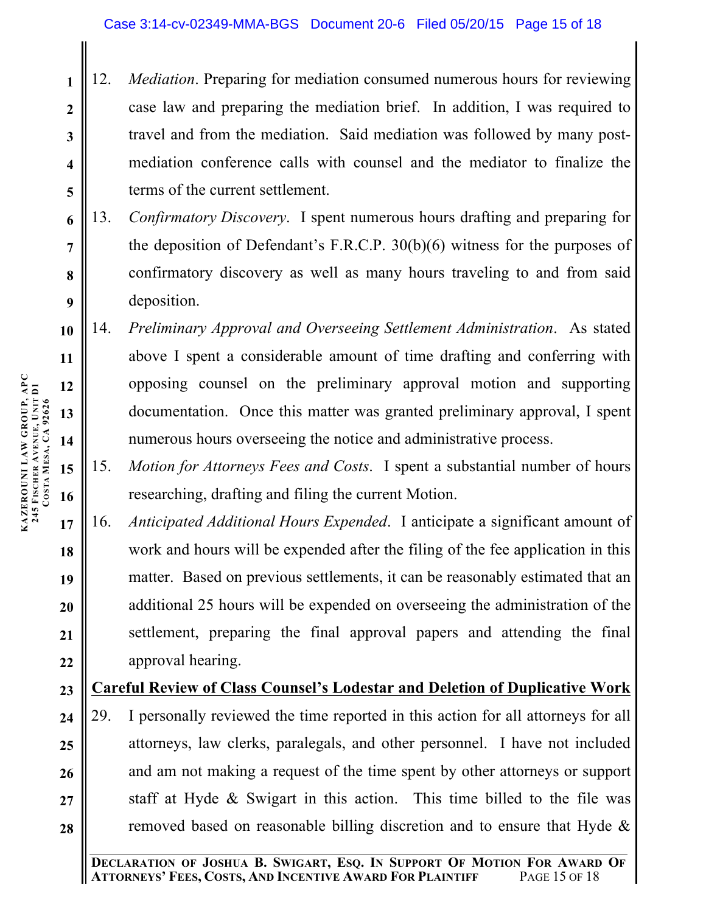- **3 4 5** 12. *Mediation*. Preparing for mediation consumed numerous hours for reviewing case law and preparing the mediation brief. In addition, I was required to travel and from the mediation. Said mediation was followed by many postmediation conference calls with counsel and the mediator to finalize the terms of the current settlement.
	- 13. *Confirmatory Discovery*. I spent numerous hours drafting and preparing for the deposition of Defendant's F.R.C.P. 30(b)(6) witness for the purposes of confirmatory discovery as well as many hours traveling to and from said deposition.
- **10 11 12 13 14** 14. *Preliminary Approval and Overseeing Settlement Administration*. As stated above I spent a considerable amount of time drafting and conferring with opposing counsel on the preliminary approval motion and supporting documentation. Once this matter was granted preliminary approval, I spent numerous hours overseeing the notice and administrative process.
	- 15. *Motion for Attorneys Fees and Costs*. I spent a substantial number of hours researching, drafting and filing the current Motion.
- **17 18 19 20 21 22** 16. *Anticipated Additional Hours Expended*. I anticipate a significant amount of work and hours will be expended after the filing of the fee application in this matter. Based on previous settlements, it can be reasonably estimated that an additional 25 hours will be expended on overseeing the administration of the settlement, preparing the final approval papers and attending the final approval hearing.

#### **23 Careful Review of Class Counsel's Lodestar and Deletion of Duplicative Work**

**24 25 26 27 28** 29. I personally reviewed the time reported in this action for all attorneys for all attorneys, law clerks, paralegals, and other personnel. I have not included and am not making a request of the time spent by other attorneys or support staff at Hyde & Swigart in this action. This time billed to the file was removed based on reasonable billing discretion and to ensure that Hyde &

**15**

**16**

**1**

**2**

**6**

**7**

**8**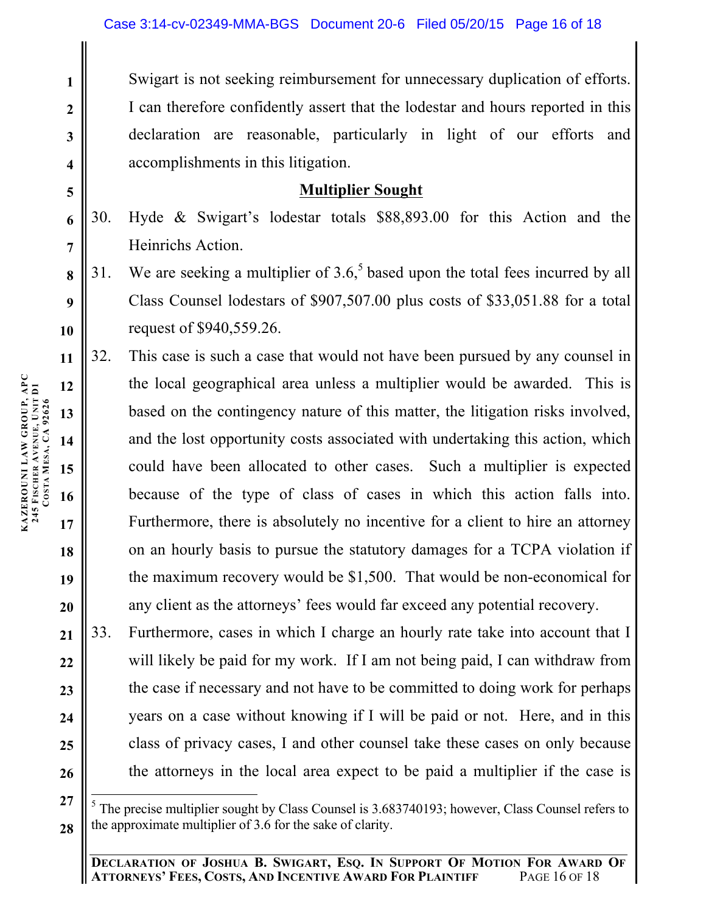Swigart is not seeking reimbursement for unnecessary duplication of efforts. I can therefore confidently assert that the lodestar and hours reported in this declaration are reasonable, particularly in light of our efforts and accomplishments in this litigation.

## **Multiplier Sought**

30. Hyde & Swigart's lodestar totals \$88,893.00 for this Action and the Heinrichs Action.

31. We are seeking a multiplier of  $3.6<sup>5</sup>$  based upon the total fees incurred by all Class Counsel lodestars of \$907,507.00 plus costs of \$33,051.88 for a total request of \$940,559.26.

32. This case is such a case that would not have been pursued by any counsel in the local geographical area unless a multiplier would be awarded. This is based on the contingency nature of this matter, the litigation risks involved, and the lost opportunity costs associated with undertaking this action, which could have been allocated to other cases. Such a multiplier is expected because of the type of class of cases in which this action falls into. Furthermore, there is absolutely no incentive for a client to hire an attorney on an hourly basis to pursue the statutory damages for a TCPA violation if the maximum recovery would be \$1,500. That would be non-economical for any client as the attorneys' fees would far exceed any potential recovery.

**21 22 23 24 25 26** 33. Furthermore, cases in which I charge an hourly rate take into account that I will likely be paid for my work. If I am not being paid, I can withdraw from the case if necessary and not have to be committed to doing work for perhaps years on a case without knowing if I will be paid or not. Here, and in this class of privacy cases, I and other counsel take these cases on only because the attorneys in the local area expect to be paid a multiplier if the case is

**1**

**2**

**3**

**4**

**5**

**6**

**7**

**8**

**9**

**10**

**11**

**12**

**13**

**14**

**15**

**16**

**17**

**18**

**19**

**20**

**<sup>27</sup> 28** <sup>5</sup> The precise multiplier sought by Class Counsel is 3.683740193; however, Class Counsel refers to the approximate multiplier of 3.6 for the sake of clarity.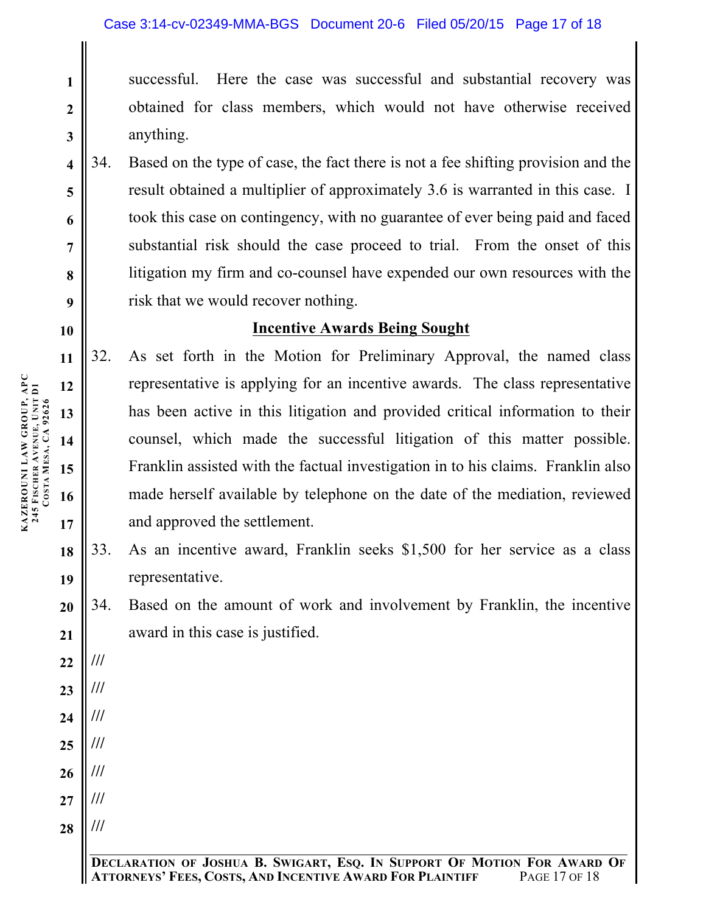successful. Here the case was successful and substantial recovery was obtained for class members, which would not have otherwise received anything.

34. Based on the type of case, the fact there is not a fee shifting provision and the result obtained a multiplier of approximately 3.6 is warranted in this case. I took this case on contingency, with no guarantee of ever being paid and faced substantial risk should the case proceed to trial. From the onset of this litigation my firm and co-counsel have expended our own resources with the risk that we would recover nothing.

## **Incentive Awards Being Sought**

- 32. As set forth in the Motion for Preliminary Approval, the named class representative is applying for an incentive awards. The class representative has been active in this litigation and provided critical information to their counsel, which made the successful litigation of this matter possible. Franklin assisted with the factual investigation in to his claims. Franklin also made herself available by telephone on the date of the mediation, reviewed and approved the settlement.
- 33. As an incentive award, Franklin seeks \$1,500 for her service as a class representative.
- 34. Based on the amount of work and involvement by Franklin, the incentive award in this case is justified.

**///**

**///**

**///**

**///**

**///**

**///**

**///**

**KAZEROUNI LAW GROUP, APC 245 FISCHER AVENUE, UNIT D1 KAZEROUNI LAW GROUP, APC<br>245 FISCHER AVENUE, UNIT D1<br>COSTA MESA, CA 92626 MESA, CA 92626** **1**

**2**

**3**

**4**

**5**

**6**

**7**

**8**

**9**

**10**

**11**

**12**

**13**

**14**

**15**

**16**

**17**

**22**

**23**

**24**

**25**

**26**

**27**